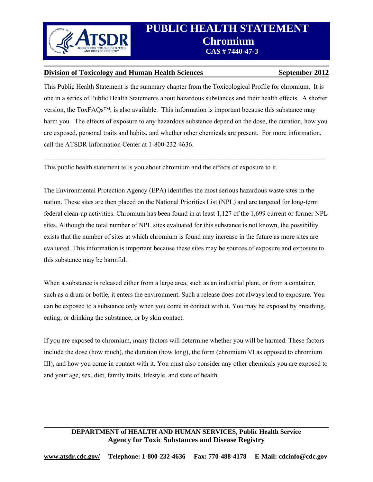

### **Division of Toxicology and Human Health Sciences** September 2012

This Public Health Statement is the summary chapter from the Toxicological Profile for chromium. It is one in a series of Public Health Statements about hazardous substances and their health effects. A shorter version, the ToxFAQs™, is also available. This information is important because this substance may harm you. The effects of exposure to any hazardous substance depend on the dose, the duration, how you are exposed, personal traits and habits, and whether other chemicals are present. For more information, call the ATSDR Information Center at 1-800-232-4636.

 $\_$ 

This public health statement tells you about chromium and the effects of exposure to it.

The Environmental Protection Agency (EPA) identifies the most serious hazardous waste sites in the nation. These sites are then placed on the National Priorities List (NPL) and are targeted for long-term federal clean-up activities. Chromium has been found in at least 1,127 of the 1,699 current or former NPL sites. Although the total number of NPL sites evaluated for this substance is not known, the possibility exists that the number of sites at which chromium is found may increase in the future as more sites are evaluated. This information is important because these sites may be sources of exposure and exposure to this substance may be harmful.

When a substance is released either from a large area, such as an industrial plant, or from a container, such as a drum or bottle, it enters the environment. Such a release does not always lead to exposure. You can be exposed to a substance only when you come in contact with it. You may be exposed by breathing, eating, or drinking the substance, or by skin contact.

If you are exposed to chromium, many factors will determine whether you will be harmed. These factors include the dose (how much), the duration (how long), the form (chromium VI as opposed to chromium III), and how you come in contact with it. You must also consider any other chemicals you are exposed to and your age, sex, diet, family traits, lifestyle, and state of health.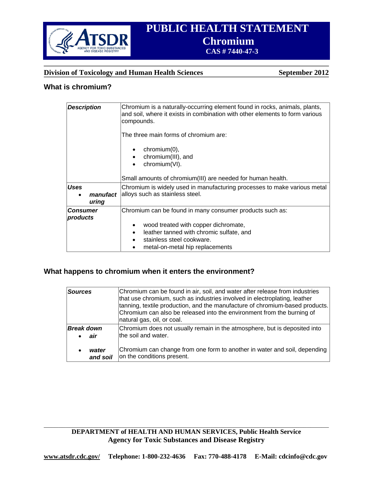

# **Division of Toxicology and Human Health Sciences** September 2012

# **What is chromium?**

| <b>Description</b>               | Chromium is a naturally-occurring element found in rocks, animals, plants,<br>and soil, where it exists in combination with other elements to form various<br>compounds.<br>The three main forms of chromium are:<br>$chromium(0)$ ,<br>chromium(III), and<br>chromium(VI).<br>$\bullet$<br>Small amounts of chromium(III) are needed for human health. |
|----------------------------------|---------------------------------------------------------------------------------------------------------------------------------------------------------------------------------------------------------------------------------------------------------------------------------------------------------------------------------------------------------|
| <b>Uses</b><br>manufact<br>uring | Chromium is widely used in manufacturing processes to make various metal<br>alloys such as stainless steel.                                                                                                                                                                                                                                             |
| <b>Consumer</b><br>products      | Chromium can be found in many consumer products such as:<br>wood treated with copper dichromate,<br>$\bullet$<br>leather tanned with chromic sulfate, and<br>$\bullet$<br>stainless steel cookware.<br>metal-on-metal hip replacements<br>٠                                                                                                             |

# **What happens to chromium when it enters the environment?**

| <b>Sources</b>    | Chromium can be found in air, soil, and water after release from industries<br>that use chromium, such as industries involved in electroplating, leather<br>tanning, textile production, and the manufacture of chromium-based products.<br>Chromium can also be released into the environment from the burning of<br>natural gas, oil, or coal. |
|-------------------|--------------------------------------------------------------------------------------------------------------------------------------------------------------------------------------------------------------------------------------------------------------------------------------------------------------------------------------------------|
| <b>Break down</b> | Chromium does not usually remain in the atmosphere, but is deposited into                                                                                                                                                                                                                                                                        |
| air               | the soil and water.                                                                                                                                                                                                                                                                                                                              |
| water             | Chromium can change from one form to another in water and soil, depending                                                                                                                                                                                                                                                                        |
| and soil          | on the conditions present.                                                                                                                                                                                                                                                                                                                       |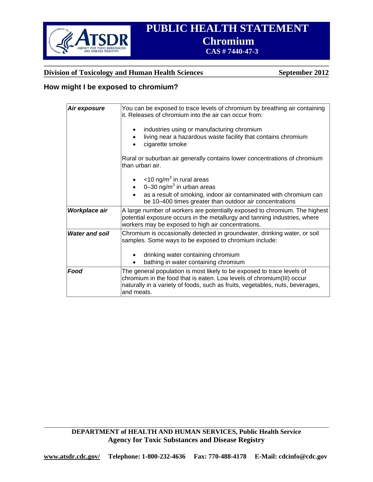

# **Division of Toxicology and Human Health Sciences September 2012**

# **How might I be exposed to chromium?**

| Air exposure          | You can be exposed to trace levels of chromium by breathing air containing<br>it. Releases of chromium into the air can occur from:<br>industries using or manufacturing chromium                                                              |
|-----------------------|------------------------------------------------------------------------------------------------------------------------------------------------------------------------------------------------------------------------------------------------|
|                       | living near a hazardous waste facility that contains chromium<br>cigarette smoke                                                                                                                                                               |
|                       | Rural or suburban air generally contains lower concentrations of chromium<br>than urban air.                                                                                                                                                   |
|                       | $\bullet$ <10 ng/m <sup>3</sup> in rural areas                                                                                                                                                                                                 |
|                       | $\bullet$ 0-30 ng/m <sup>3</sup> in urban areas<br>as a result of smoking, indoor air contaminated with chromium can<br>be 10-400 times greater than outdoor air concentrations                                                                |
| Workplace air         | A large number of workers are potentially exposed to chromium. The highest<br>potential exposure occurs in the metallurgy and tanning industries, where<br>workers may be exposed to high air concentrations.                                  |
| <b>Water and soil</b> | Chromium is occasionally detected in groundwater, drinking water, or soil<br>samples. Some ways to be exposed to chromium include:                                                                                                             |
|                       | drinking water containing chromium<br>bathing in water containing chromium                                                                                                                                                                     |
| Food                  | The general population is most likely to be exposed to trace levels of<br>chromium in the food that is eaten. Low levels of chromium(III) occur<br>naturally in a variety of foods, such as fruits, vegetables, nuts, beverages,<br>and meats. |

**DEPARTMENT of HEALTH AND HUMAN SERVICES, Public Health Service Agency for Toxic Substances and Disease Registry** 

 $\_$  , and the contribution of the contribution of the contribution of the contribution of  $\mathcal{L}_\text{max}$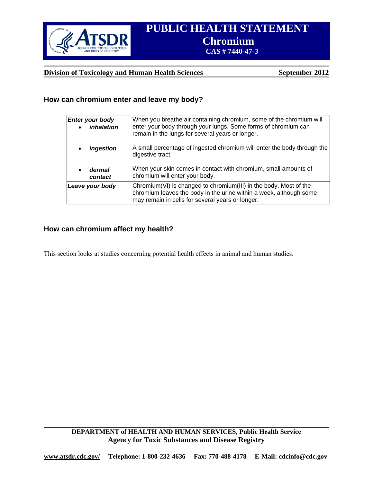

### **Division of Toxicology and Human Health Sciences** September 2012

### **How can chromium enter and leave my body?**

| Enter your body<br>inhalation  | When you breathe air containing chromium, some of the chromium will<br>enter your body through your lungs. Some forms of chromium can<br>remain in the lungs for several years or longer.   |
|--------------------------------|---------------------------------------------------------------------------------------------------------------------------------------------------------------------------------------------|
| ingestion                      | A small percentage of ingested chromium will enter the body through the<br>digestive tract.                                                                                                 |
| dermal<br>$\bullet$<br>contact | When your skin comes in contact with chromium, small amounts of<br>chromium will enter your body.                                                                                           |
| Leave your body                | Chromium(VI) is changed to chromium(III) in the body. Most of the<br>chromium leaves the body in the urine within a week, although some<br>may remain in cells for several years or longer. |

# **How can chromium affect my health?**

This section looks at studies concerning potential health effects in animal and human studies.

 $\_$  , and the contribution of the contribution of the contribution of the contribution of  $\mathcal{L}_\text{max}$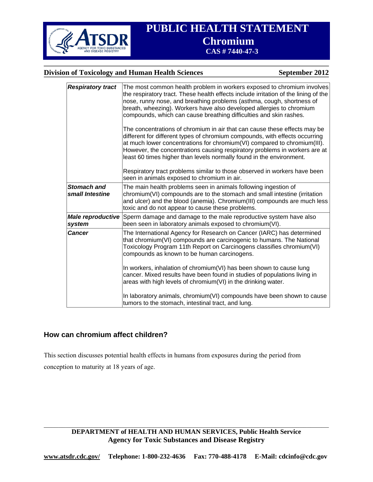

# **Division of Toxicology and Human Health Sciences** September 2012

| <b>Respiratory tract</b>              | The most common health problem in workers exposed to chromium involves<br>the respiratory tract. These health effects include irritation of the lining of the<br>nose, runny nose, and breathing problems (asthma, cough, shortness of<br>breath, wheezing). Workers have also developed allergies to chromium<br>compounds, which can cause breathing difficulties and skin rashes.<br>The concentrations of chromium in air that can cause these effects may be<br>different for different types of chromium compounds, with effects occurring<br>at much lower concentrations for chromium(VI) compared to chromium(III).<br>However, the concentrations causing respiratory problems in workers are at<br>least 60 times higher than levels normally found in the environment.<br>Respiratory tract problems similar to those observed in workers have been<br>seen in animals exposed to chromium in air. |
|---------------------------------------|----------------------------------------------------------------------------------------------------------------------------------------------------------------------------------------------------------------------------------------------------------------------------------------------------------------------------------------------------------------------------------------------------------------------------------------------------------------------------------------------------------------------------------------------------------------------------------------------------------------------------------------------------------------------------------------------------------------------------------------------------------------------------------------------------------------------------------------------------------------------------------------------------------------|
| <b>Stomach and</b><br>small Intestine | The main health problems seen in animals following ingestion of<br>chromium(VI) compounds are to the stomach and small intestine (irritation<br>and ulcer) and the blood (anemia). Chromium(III) compounds are much less<br>toxic and do not appear to cause these problems.                                                                                                                                                                                                                                                                                                                                                                                                                                                                                                                                                                                                                                   |
| Male reproductive<br>system           | Sperm damage and damage to the male reproductive system have also<br>been seen in laboratory animals exposed to chromium(VI).                                                                                                                                                                                                                                                                                                                                                                                                                                                                                                                                                                                                                                                                                                                                                                                  |
| <b>Cancer</b>                         | The International Agency for Research on Cancer (IARC) has determined<br>that chromium(VI) compounds are carcinogenic to humans. The National<br>Toxicology Program 11th Report on Carcinogens classifies chromium(VI)<br>compounds as known to be human carcinogens.                                                                                                                                                                                                                                                                                                                                                                                                                                                                                                                                                                                                                                          |
|                                       | In workers, inhalation of chromium(VI) has been shown to cause lung<br>cancer. Mixed results have been found in studies of populations living in<br>areas with high levels of chromium(VI) in the drinking water.                                                                                                                                                                                                                                                                                                                                                                                                                                                                                                                                                                                                                                                                                              |
|                                       | In laboratory animals, chromium(VI) compounds have been shown to cause<br>tumors to the stomach, intestinal tract, and lung.                                                                                                                                                                                                                                                                                                                                                                                                                                                                                                                                                                                                                                                                                                                                                                                   |

# **How can chromium affect children?**

This section discusses potential health effects in humans from exposures during the period from conception to maturity at 18 years of age.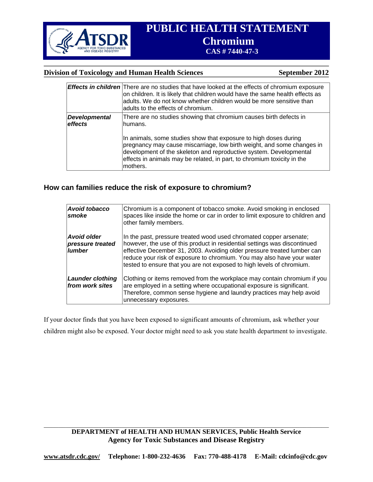

### **Division of Toxicology and Human Health Sciences** September 2012

|                                 | <b>Effects in children</b> There are no studies that have looked at the effects of chromium exposure<br>on children. It is likely that children would have the same health effects as<br>adults. We do not know whether children would be more sensitive than<br>adults to the effects of chromium.     |
|---------------------------------|---------------------------------------------------------------------------------------------------------------------------------------------------------------------------------------------------------------------------------------------------------------------------------------------------------|
| <b>Developmental</b><br>effects | There are no studies showing that chromium causes birth defects in<br>humans.                                                                                                                                                                                                                           |
|                                 | In animals, some studies show that exposure to high doses during<br>pregnancy may cause miscarriage, low birth weight, and some changes in<br>development of the skeleton and reproductive system. Developmental<br>effects in animals may be related, in part, to chromium toxicity in the<br>mothers. |

# **How can families reduce the risk of exposure to chromium?**

| <b>Avoid tobacco</b><br>smoke                    | Chromium is a component of tobacco smoke. Avoid smoking in enclosed<br>spaces like inside the home or car in order to limit exposure to children and<br>other family members.                                                                                                                                                                                                 |
|--------------------------------------------------|-------------------------------------------------------------------------------------------------------------------------------------------------------------------------------------------------------------------------------------------------------------------------------------------------------------------------------------------------------------------------------|
| Avoid older<br>pressure treated<br><b>lumber</b> | In the past, pressure treated wood used chromated copper arsenate;<br>however, the use of this product in residential settings was discontinued<br>effective December 31, 2003. Avoiding older pressure treated lumber can<br>reduce your risk of exposure to chromium. You may also have your water<br>tested to ensure that you are not exposed to high levels of chromium. |
| <b>Launder clothing</b><br>from work sites       | Clothing or items removed from the workplace may contain chromium if you<br>are employed in a setting where occupational exposure is significant.<br>Therefore, common sense hygiene and laundry practices may help avoid<br>unnecessary exposures.                                                                                                                           |

If your doctor finds that you have been exposed to significant amounts of chromium, ask whether your children might also be exposed. Your doctor might need to ask you state health department to investigate.

# **DEPARTMENT of HEALTH AND HUMAN SERVICES, Public Health Service Agency for Toxic Substances and Disease Registry**

 $\_$  , and the contribution of the contribution of the contribution of the contribution of  $\mathcal{L}_\text{max}$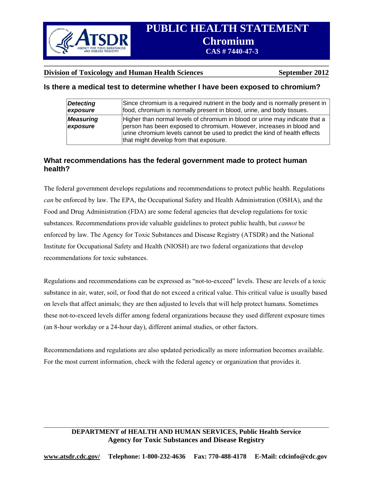

### **Division of Toxicology and Human Health Sciences** September 2012

# **Is there a medical test to determine whether I have been exposed to chromium?**

| <b>Detecting</b>             | Since chromium is a required nutrient in the body and is normally present in                                                                                                                                                                                                |
|------------------------------|-----------------------------------------------------------------------------------------------------------------------------------------------------------------------------------------------------------------------------------------------------------------------------|
| exposure                     | food, chromium is normally present in blood, urine, and body tissues.                                                                                                                                                                                                       |
| <b>Measuring</b><br>exposure | Higher than normal levels of chromium in blood or urine may indicate that a<br>person has been exposed to chromium. However, increases in blood and<br>urine chromium levels cannot be used to predict the kind of health effects<br>that might develop from that exposure. |

# **What recommendations has the federal government made to protect human health?**

The federal government develops regulations and recommendations to protect public health. Regulations *can* be enforced by law. The EPA, the Occupational Safety and Health Administration (OSHA), and the Food and Drug Administration (FDA) are some federal agencies that develop regulations for toxic substances. Recommendations provide valuable guidelines to protect public health, but *cannot* be enforced by law. The Agency for Toxic Substances and Disease Registry (ATSDR) and the National Institute for Occupational Safety and Health (NIOSH) are two federal organizations that develop recommendations for toxic substances.

Regulations and recommendations can be expressed as "not-to-exceed" levels. These are levels of a toxic substance in air, water, soil, or food that do not exceed a critical value. This critical value is usually based on levels that affect animals; they are then adjusted to levels that will help protect humans. Sometimes these not-to-exceed levels differ among federal organizations because they used different exposure times (an 8-hour workday or a 24-hour day), different animal studies, or other factors.

Recommendations and regulations are also updated periodically as more information becomes available. For the most current information, check with the federal agency or organization that provides it.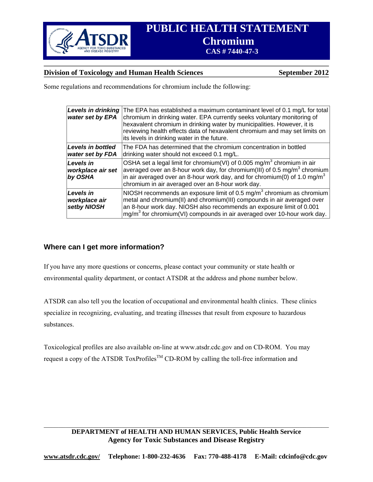

# **Division of Toxicology and Human Health Sciences** September 2012

Some regulations and recommendations for chromium include the following:

| <b>Levels in drinking</b><br>water set by EPA | The EPA has established a maximum contaminant level of 0.1 mg/L for total<br>chromium in drinking water. EPA currently seeks voluntary monitoring of<br>hexavalent chromium in drinking water by municipalities. However, it is<br>reviewing health effects data of hexavalent chromium and may set limits on<br>its levels in drinking water in the future. |
|-----------------------------------------------|--------------------------------------------------------------------------------------------------------------------------------------------------------------------------------------------------------------------------------------------------------------------------------------------------------------------------------------------------------------|
| Levels in bottled<br>water set by FDA         | The FDA has determined that the chromium concentration in bottled<br>drinking water should not exceed 0.1 mg/L.                                                                                                                                                                                                                                              |
| Levels in<br>workplace air set<br>by OSHA     | OSHA set a legal limit for chromium(VI) of 0.005 mg/m <sup>3</sup> chromium in air<br>averaged over an 8-hour work day, for chromium(III) of 0.5 mg/m <sup>3</sup> chromium<br>in air averaged over an 8-hour work day, and for chromium(0) of 1.0 mg/m <sup>3</sup><br>chromium in air averaged over an 8-hour work day.                                    |
| Levels in<br>workplace air<br>setby NIOSH     | NIOSH recommends an exposure limit of 0.5 mg/m <sup>3</sup> chromium as chromium<br>metal and chromium(II) and chromium(III) compounds in air averaged over<br>an 8-hour work day. NIOSH also recommends an exposure limit of 0.001<br>mg/m <sup>3</sup> for chromium(VI) compounds in air averaged over 10-hour work day.                                   |

# **Where can I get more information?**

If you have any more questions or concerns, please contact your community or state health or environmental quality department, or contact ATSDR at the address and phone number below.

ATSDR can also tell you the location of occupational and environmental health clinics. These clinics specialize in recognizing, evaluating, and treating illnesses that result from exposure to hazardous substances.

Toxicological profiles are also available on-line at www.atsdr.cdc.gov and on CD-ROM. You may request a copy of the ATSDR ToxProfiles<sup>TM</sup> CD-ROM by calling the toll-free information and